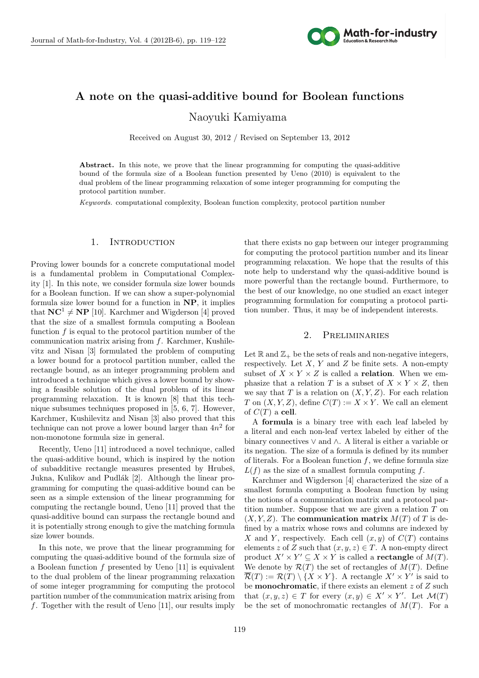

# **A note on the quasi-additive bound for Boolean functions** Naoyuki Kamiyama

Received on August 30, 2012 / Revised on September 13, 2012

Abstract. In this note, we prove that the linear programming for computing the quasi-additive bound of the formula size of a Boolean function presented by Ueno (2010) is equivalent to the dual problem of the linear programming relaxation of some integer programming for computing the protocol partition number.

*Keywords.* computational complexity, Boolean function complexity, protocol partition number

# 1. INTRODUCTION

Proving lower bounds for a concrete computational model is a fundamental problem in Computational Complexity [1]. In this note, we consider formula size lower bounds for a Boolean function. If we can show a super-polynomial formula size lower bound for a function in **NP**, it implies that  $NC^1 \neq NP$  [10]. Karchmer and Wigderson [4] proved that the size of a smallest formula computing a Boolean function *f* is equal to the protocol partition number of the communication matrix arising from *f*. Karchmer, Kushilevitz and Nisan [3] formulated the problem of computing a lower bound for a protocol partition number, called the rectangle bound, as an integer programming problem and introduced a technique which gives a lower bound by showing a feasible solution of the dual problem of its linear programming relaxation. It is known [8] that this technique subsumes techniques proposed in [5, 6, 7]. However, Karchmer, Kushilevitz and Nisan [3] also proved that this technique can not prove a lower bound larger than 4*n* 2 for non-monotone formula size in general.

Recently, Ueno [11] introduced a novel technique, called the quasi-additive bound, which is inspired by the notion of subadditive rectangle measures presented by Hrubeš, Jukna, Kulikov and Pudlák [2]. Although the linear programming for computing the quasi-additive bound can be seen as a simple extension of the linear programming for computing the rectangle bound, Ueno [11] proved that the quasi-additive bound can surpass the rectangle bound and it is potentially strong enough to give the matching formula size lower bounds.

In this note, we prove that the linear programming for computing the quasi-additive bound of the formula size of a Boolean function *f* presented by Ueno [11] is equivalent to the dual problem of the linear programming relaxation of some integer programming for computing the protocol partition number of the communication matrix arising from *f*. Together with the result of Ueno [11], our results imply

that there exists no gap between our integer programming for computing the protocol partition number and its linear programming relaxation. We hope that the results of this note help to understand why the quasi-additive bound is more powerful than the rectangle bound. Furthermore, to the best of our knowledge, no one studied an exact integer programming formulation for computing a protocol partition number. Thus, it may be of independent interests.

## 2. Preliminaries

Let  $\mathbb R$  and  $\mathbb{Z}_+$  be the sets of reals and non-negative integers, respectively. Let *X*, *Y* and *Z* be finite sets. A non-empty subset of  $X \times Y \times Z$  is called a **relation**. When we emphasize that a relation *T* is a subset of  $X \times Y \times Z$ , then we say that  $T$  is a relation on  $(X, Y, Z)$ . For each relation *T* on  $(X, Y, Z)$ , define  $C(T) := X \times Y$ . We call an element of  $C(T)$  a **cell**.

A **formula** is a binary tree with each leaf labeled by a literal and each non-leaf vertex labeled by either of the binary connectives *∨* and *∧*. A literal is either a variable or its negation. The size of a formula is defined by its number of literals. For a Boolean function *f*, we define formula size  $L(f)$  as the size of a smallest formula computing  $f$ .

Karchmer and Wigderson [4] characterized the size of a smallest formula computing a Boolean function by using the notions of a communication matrix and a protocol partition number. Suppose that we are given a relation *T* on  $(X, Y, Z)$ . The **communication matrix**  $M(T)$  of T is defined by a matrix whose rows and columns are indexed by *X* and *Y*, respectively. Each cell  $(x, y)$  of  $C(T)$  contains elements *z* of *Z* such that  $(x, y, z) \in T$ . A non-empty direct product  $X' \times Y' \subseteq X \times Y$  is called a **rectangle** of  $M(T)$ . We denote by  $\mathcal{R}(T)$  the set of rectangles of  $M(T)$ . Define  $\mathcal{R}(T) := \mathcal{R}(T) \setminus \{X \times Y\}$ . A rectangle  $X' \times Y'$  is said to be **monochromatic**, if there exists an element *z* of *Z* such that  $(x, y, z) \in T$  for every  $(x, y) \in X' \times Y'$ . Let  $\mathcal{M}(T)$ be the set of monochromatic rectangles of *M*(*T*). For a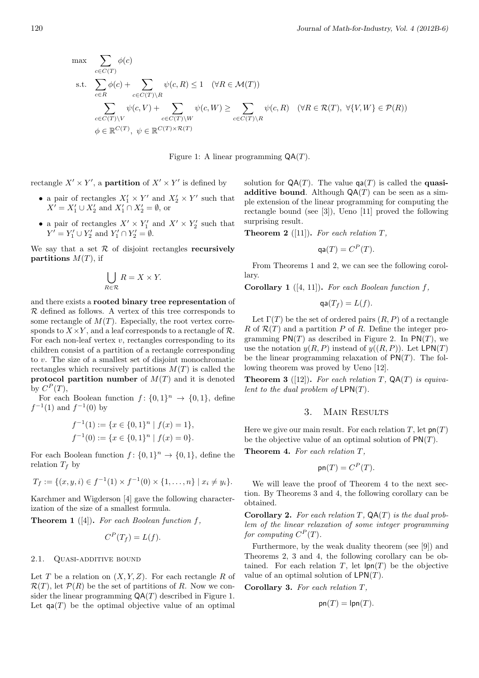$$
\max \sum_{c \in C(T)} \phi(c)
$$
\n
$$
\text{s.t. } \sum_{c \in R} \phi(c) + \sum_{c \in C(T) \setminus R} \psi(c, R) \le 1 \quad (\forall R \in \mathcal{M}(T))
$$
\n
$$
\sum_{c \in C(T) \setminus V} \psi(c, V) + \sum_{c \in C(T) \setminus W} \psi(c, W) \ge \sum_{c \in C(T) \setminus R} \psi(c, R) \quad (\forall R \in \mathcal{R}(T), \ \forall \{V, W\} \in \mathcal{P}(R))
$$
\n
$$
\phi \in \mathbb{R}^{C(T)}, \ \psi \in \mathbb{R}^{C(T) \times \mathcal{R}(T)}
$$

Figure 1: A linear programming QA(*T*).

rectangle  $X' \times Y'$ , a **partition** of  $X' \times Y'$  is defined by

- a pair of rectangles  $X'_1 \times Y'$  and  $X'_2 \times Y'$  such that  $X' = X'_1 \cup X'_2$  and  $X'_1 \cap X'_2 = \emptyset$ , or
- a pair of rectangles  $X' \times Y'_1$  and  $X' \times Y'_2$  such that  $Y' = Y'_1 \cup Y'_2$  and  $Y'_1 \cap Y'_2 = \emptyset$ .

We say that a set  $R$  of disjoint rectangles **recursively partitions**  $M(T)$ , if

$$
\bigcup_{R \in \mathcal{R}} R = X \times Y.
$$

and there exists a **rooted binary tree representation** of *R* defined as follows. A vertex of this tree corresponds to some rectangle of  $M(T)$ . Especially, the root vertex corresponds to  $X \times Y$ , and a leaf corresponds to a rectangle of  $\mathcal{R}$ . For each non-leaf vertex *v*, rectangles corresponding to its children consist of a partition of a rectangle corresponding to *v*. The size of a smallest set of disjoint monochromatic rectangles which recursively partitions  $M(T)$  is called the **protocol partition number** of  $M(T)$  and it is denoted by  $C^P(T)$ ,

For each Boolean function  $f: \{0, 1\}^n \to \{0, 1\}$ , define  $f^{-1}(1)$  and  $f^{-1}(0)$  by

$$
f^{-1}(1) := \{x \in \{0, 1\}^n \mid f(x) = 1\},
$$
  

$$
f^{-1}(0) := \{x \in \{0, 1\}^n \mid f(x) = 0\}.
$$

For each Boolean function  $f: \{0, 1\}^n \to \{0, 1\}$ , define the relation  $T_f$  by

$$
T_f := \{(x, y, i) \in f^{-1}(1) \times f^{-1}(0) \times \{1, ..., n\} \mid x_i \neq y_i\}.
$$

Karchmer and Wigderson [4] gave the following characterization of the size of a smallest formula.

**Theorem 1** ([4])**.** *For each Boolean function f,*

$$
C^P(T_f) = L(f).
$$

## 2.1. QUASI-ADDITIVE BOUND

Let *T* be a relation on  $(X, Y, Z)$ . For each rectangle *R* of  $\mathcal{R}(T)$ , let  $\mathcal{P}(R)$  be the set of partitions of *R*. Now we consider the linear programming QA(*T*) described in Figure 1. Let  $\text{qa}(T)$  be the optimal objective value of an optimal

solution for  $QA(T)$ . The value  $qa(T)$  is called the **quasiadditive bound**. Although  $QA(T)$  can be seen as a simple extension of the linear programming for computing the rectangle bound (see [3]), Ueno [11] proved the following surprising result.

**Theorem 2** ([11]). For each relation  $T$ ,

$$
qa(T) = C^P(T).
$$

From Theorems 1 and 2, we can see the following corollary.

**Corollary 1** ([4, 11])**.** *For each Boolean function f,*

$$
\mathsf{qa}(T_f) = L(f).
$$

Let  $\Gamma(T)$  be the set of ordered pairs  $(R, P)$  of a rectangle  $R$  of  $R(T)$  and a partition  $P$  of  $R$ . Define the integer programming  $PN(T)$  as described in Figure 2. In  $PN(T)$ , we use the notation  $y(R, P)$  instead of  $y((R, P))$ . Let  $\textsf{LPN}(T)$ be the linear programming relaxation of PN(*T*). The following theorem was proved by Ueno [12].

**Theorem 3** ([12]). For each relation  $T$ ,  $QA(T)$  is equiva*lent to the dual problem of* LPN(*T*)*.*

# 3. Main Results

Here we give our main result. For each relation  $T$ , let  $\mathsf{pn}(T)$ be the objective value of an optimal solution of PN(*T*).

**Theorem 4.** *For each relation T,*

$$
\mathsf{pn}(T) = C^P(T).
$$

We will leave the proof of Theorem 4 to the next section. By Theorems 3 and 4, the following corollary can be obtained.

**Corollary 2.** *For each relation T,* QA(*T*) *is the dual problem of the linear relaxation of some integer programming for computing*  $C^P(T)$ *.* 

Furthermore, by the weak duality theorem (see [9]) and Theorems 2, 3 and 4, the following corollary can be obtained. For each relation  $T$ , let  $\text{lpn}(T)$  be the objective value of an optimal solution of LPN(*T*).

**Corollary 3.** *For each relation T,*

$$
\mathsf{pn}(T) = \mathsf{lpn}(T).
$$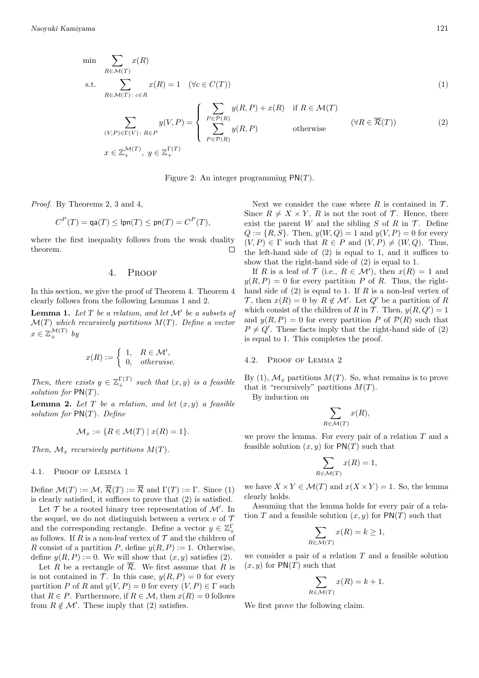$$
\min \sum_{R \in \mathcal{M}(T)} x(R)
$$
\n
$$
\text{s.t.} \sum_{R \in \mathcal{M}(T) : c \in R} x(R) = 1 \quad (\forall c \in C(T))
$$
\n
$$
\left(\sum_{R \in \mathcal{M}(T)} y(R) + x(R) \text{ if } R \in \mathcal{M}(T)\right)
$$
\n
$$
(1)
$$

$$
\sum_{(V,P)\in\Gamma(V):\ R\in P} y(V,P) = \begin{cases} \sum_{P\in\mathcal{P}(R)} y(R,P) + x(R) & \text{if } R\in\mathcal{M}(T) \\ \sum_{P\in\mathcal{P}(R)} y(R,P) & \text{otherwise} \end{cases} \quad (\forall R\in\overline{\mathcal{R}}(T))
$$
 (2)  

$$
x \in \mathbb{Z}_+^{\mathcal{M}(T)}, y \in \mathbb{Z}_+^{\Gamma(T)}
$$

Figure 2: An integer programming PN(*T*).

*Proof.* By Theorems 2, 3 and 4,

$$
C^{P}(T) = \text{qa}(T) \leq \text{lpn}(T) \leq \text{pn}(T) = C^{P}(T),
$$

where the first inequality follows from the weak duality theorem.  $\Box$ 

## 4. Proof

In this section, we give the proof of Theorem 4. Theorem 4 clearly follows from the following Lemmas 1 and 2.

**Lemma 1.** *Let T be a relation, and let M′ be a subsets of M*(*T*) *which recursively partitions M*(*T*)*. Define a vector*  $x \in \mathbb{Z}_+^{\mathcal{M}(T)}$  *by* 

$$
x(R) := \begin{cases} 1, & R \in \mathcal{M}', \\ 0, & otherwise. \end{cases}
$$

*Then, there exists*  $y \in \mathbb{Z}_+^{\Gamma(T)}$  *such that*  $(x, y)$  *is a feasible solution for* PN(*T*)*.*

**Lemma 2.** Let  $T$  be a relation, and let  $(x, y)$  a feasible *solution for* PN(*T*)*. Define*

$$
\mathcal{M}_x := \{ R \in \mathcal{M}(T) \mid x(R) = 1 \}.
$$

*Then,*  $\mathcal{M}_x$  *recursively partitions*  $M(T)$ *.* 

#### 4.1. Proof of Lemma 1

Define  $\mathcal{M}(T) := \mathcal{M}, \overline{\mathcal{R}}(T) := \overline{\mathcal{R}}$  and  $\Gamma(T) := \Gamma$ . Since (1) is clearly satisfied, it suffices to prove that (2) is satisfied.

Let  $\mathcal T$  be a rooted binary tree representation of  $\mathcal M'$ . In the sequel, we do not distinguish between a vertex  $v$  of  $\mathcal T$ and the corresponding rectangle. Define a vector  $y \in \mathbb{Z}_+^{\Gamma}$ as follows. If *R* is a non-leaf vertex of  $\mathcal T$  and the children of *R* consist of a partition *P*, define  $y(R, P) := 1$ . Otherwise, define  $y(R, P) := 0$ . We will show that  $(x, y)$  satisfies (2).

Let *R* be a rectangle of  $\overline{\mathcal{R}}$ . We first assume that *R* is is not contained in  $\mathcal T$ . In this case,  $y(R, P) = 0$  for every partition *P* of *R* and  $y(V, P) = 0$  for every  $(V, P) \in \Gamma$  such that  $R \in P$ . Furthermore, if  $R \in \mathcal{M}$ , then  $x(R) = 0$  follows from  $R \notin \mathcal{M}'$ . These imply that (2) satisfies.

Next we consider the case where  $R$  is contained in  $T$ . Since  $R \neq X \times Y$ ,  $R$  is not the root of  $\mathcal{T}$ . Hence, there exist the parent *W* and the sibling *S* of *R* in  $\mathcal{T}$ . Define  $Q := \{R, S\}$ . Then,  $y(W, Q) = 1$  and  $y(V, P) = 0$  for every  $(V, P) \in \Gamma$  such that  $R \in P$  and  $(V, P) \neq (W, Q)$ . Thus, the left-hand side of (2) is equal to 1, and it suffices to show that the right-hand side of (2) is equal to 1.

If *R* is a leaf of  $\mathcal{T}$  (i.e.,  $R \in \mathcal{M}'$ ), then  $x(R) = 1$  and  $y(R, P) = 0$  for every partition *P* of *R*. Thus, the righthand side of (2) is equal to 1. If *R* is a non-leaf vertex of *T*, then  $x(R) = 0$  by  $R \notin \mathcal{M}'$ . Let  $Q'$  be a partition of  $R$ which consist of the children of *R* in *T*. Then,  $y(R, Q') = 1$ and  $y(R, P) = 0$  for every partition P of  $P(R)$  such that  $P \neq Q'$ . These facts imply that the right-hand side of (2) is equal to 1. This completes the proof.

#### 4.2. Proof of Lemma 2

By  $(1)$ ,  $\mathcal{M}_x$  partitions  $M(T)$ . So, what remains is to prove that it "recursively" partitions  $M(T)$ .

By induction on

$$
\sum_{R \in \mathcal{M}(T)} x(R),
$$

we prove the lemma. For every pair of a relation *T* and a feasible solution  $(x, y)$  for  $\text{PN}(T)$  such that

$$
\sum_{R \in \mathcal{M}(T)} x(R) = 1,
$$

we have  $X \times Y \in \mathcal{M}(T)$  and  $x(X \times Y) = 1$ . So, the lemma clearly holds.

Assuming that the lemma holds for every pair of a relation *T* and a feasible solution  $(x, y)$  for  $PN(T)$  such that

$$
\sum_{R \in \mathcal{M}(T)} x(R) = k \ge 1,
$$

we consider a pair of a relation *T* and a feasible solution  $(x, y)$  for  $PN(T)$  such that

$$
\sum_{R \in \mathcal{M}(T)} x(R) = k + 1.
$$

We first prove the following claim.